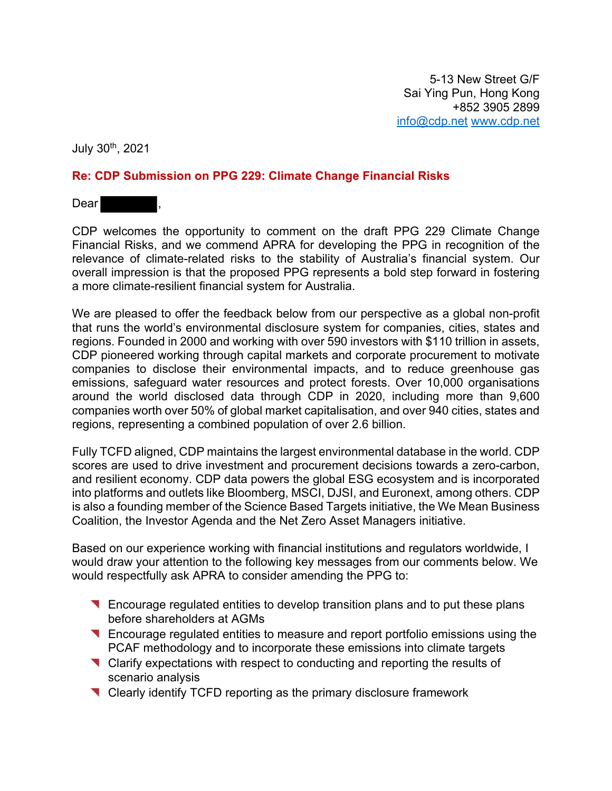July 30th, 2021

## **Re: CDP Submission on PPG 229: Climate Change Financial Risks**

Dear **Dear** 

CDP welcomes the opportunity to comment on the draft PPG 229 Climate Change Financial Risks, and we commend APRA for developing the PPG in recognition of the relevance of climate-related risks to the stability of Australia's financial system. Our overall impression is that the proposed PPG represents a bold step forward in fostering a more climate-resilient financial system for Australia.

We are pleased to offer the feedback below from our perspective as a global non-profit that runs the world's environmental disclosure system for companies, cities, states and regions. Founded in 2000 and working with over 590 investors with \$110 trillion in assets, CDP pioneered working through capital markets and corporate procurement to motivate companies to disclose their environmental impacts, and to reduce greenhouse gas emissions, safeguard water resources and protect forests. Over 10,000 organisations around the world disclosed data through CDP in 2020, including more than 9,600 companies worth over 50% of global market capitalisation, and over 940 cities, states and regions, representing a combined population of over 2.6 billion.

Fully TCFD aligned, CDP maintains the largest environmental database in the world. CDP scores are used to drive investment and procurement decisions towards a zero-carbon, and resilient economy. CDP data powers the global ESG ecosystem and is incorporated into platforms and outlets like Bloomberg, MSCI, DJSI, and Euronext, among others. CDP is also a founding member of the Science Based Targets initiative, the We Mean Business Coalition, the Investor Agenda and the Net Zero Asset Managers initiative.

Based on our experience working with financial institutions and regulators worldwide, I would draw your attention to the following key messages from our comments below. We would respectfully ask APRA to consider amending the PPG to:

- ◥ Encourage regulated entities to develop transition plans and to put these plans before shareholders at AGMs
- ◥ Encourage regulated entities to measure and report portfolio emissions using the PCAF methodology and to incorporate these emissions into climate targets
- ◥ Clarify expectations with respect to conducting and reporting the results of scenario analysis
- ◥ Clearly identify TCFD reporting as the primary disclosure framework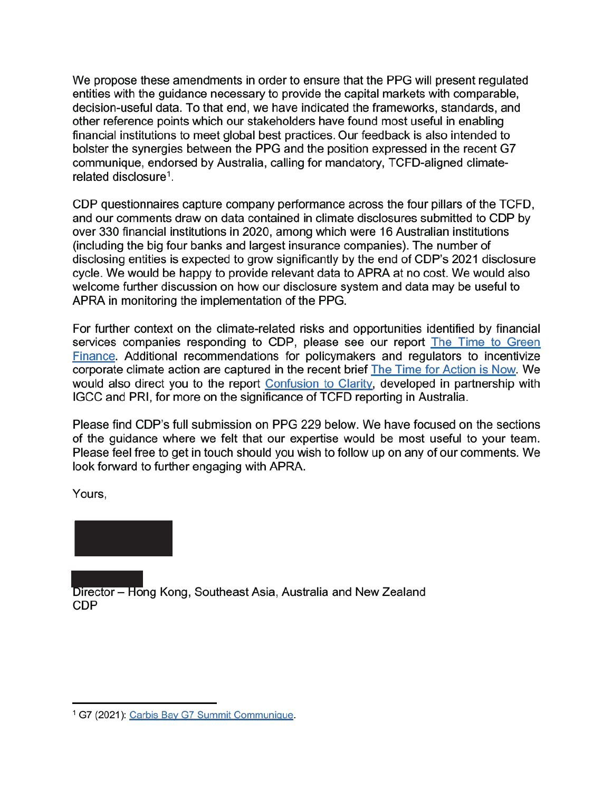We propose these amendments in order to ensure that the PPG will present regulated entities with the guidance necessary to provide the capital markets with comparable, decision-useful data. To that end, we have indicated the frameworks, standards, and other reference points which our stakeholders have found most useful in enabling financial institutions to meet global best practices. Our feedback is also intended to bolster the synergies between the PPG and the position expressed in the recent G7 communique, endorsed by Australia, calling for mandatory, TCFD-aligned climaterelated disclosure<sup>1</sup>.

CDP questionnaires capture company performance across the four pillars of the TCFD, and our comments draw on data contained in climate disclosures submitted to CDP by over 330 financial institutions in 2020, among which were 16 Australian institutions (including the big four banks and largest insurance companies). The number of disclosing entities is expected to grow significantly by the end of CDP's 2021 disclosure cycle. We would be happy to provide relevant data to APRA at no cost. We would also welcome further discussion on how our disclosure system and data may be useful to APRA in monitoring the implementation of the PPG.

For further context on the climate-related risks and opportunities identified by financial services companies responding to CDP, please see our report The Time to Green Finance. Additional recommendations for policymakers and regulators to incentivize corporate climate action are captured in the recent brief The Time for Action is Now. We would also direct you to the report Confusion to Clarity, developed in partnership with IGCC and PRI, for more on the significance of TCFD reporting in Australia.

Please find CDP's full submission on PPG 229 below. We have focused on the sections of the guidance where we felt that our expertise would be most useful to your team. Please feel free to get in touch should you wish to follow up on any of our comments. We look forward to further engaging with APRA.

Yours,



Director – Hong Kong, Southeast Asia, Australia and New Zealand **CDP** 

<sup>&</sup>lt;sup>1</sup> G7 (2021): Carbis Bay G7 Summit Communique.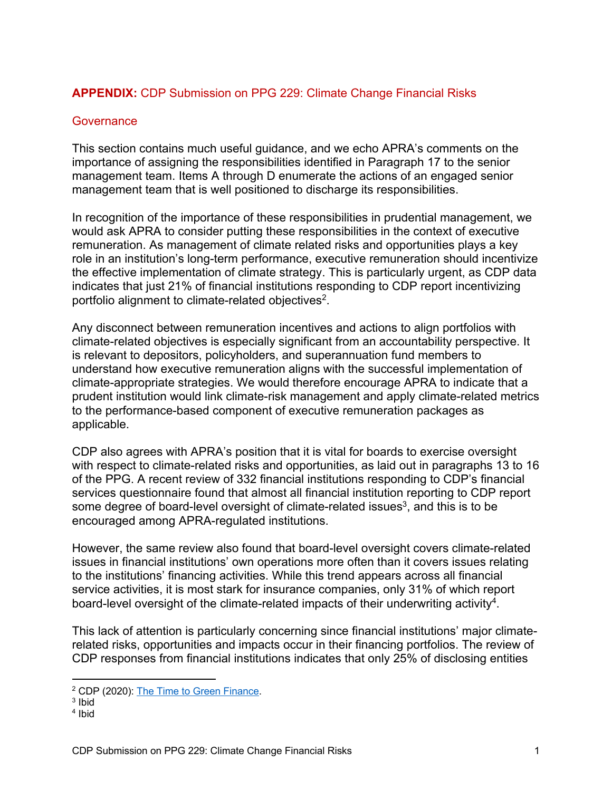## **APPENDIX:** CDP Submission on PPG 229: Climate Change Financial Risks

#### **Governance**

This section contains much useful guidance, and we echo APRA's comments on the importance of assigning the responsibilities identified in Paragraph 17 to the senior management team. Items A through D enumerate the actions of an engaged senior management team that is well positioned to discharge its responsibilities.

In recognition of the importance of these responsibilities in prudential management, we would ask APRA to consider putting these responsibilities in the context of executive remuneration. As management of climate related risks and opportunities plays a key role in an institution's long-term performance, executive remuneration should incentivize the effective implementation of climate strategy. This is particularly urgent, as CDP data indicates that just 21% of financial institutions responding to CDP report incentivizing portfolio alignment to climate-related objectives2.

Any disconnect between remuneration incentives and actions to align portfolios with climate-related objectives is especially significant from an accountability perspective. It is relevant to depositors, policyholders, and superannuation fund members to understand how executive remuneration aligns with the successful implementation of climate-appropriate strategies. We would therefore encourage APRA to indicate that a prudent institution would link climate-risk management and apply climate-related metrics to the performance-based component of executive remuneration packages as applicable.

CDP also agrees with APRA's position that it is vital for boards to exercise oversight with respect to climate-related risks and opportunities, as laid out in paragraphs 13 to 16 of the PPG. A recent review of 332 financial institutions responding to CDP's financial services questionnaire found that almost all financial institution reporting to CDP report some degree of board-level oversight of climate-related issues<sup>3</sup>, and this is to be encouraged among APRA-regulated institutions.

However, the same review also found that board-level oversight covers climate-related issues in financial institutions' own operations more often than it covers issues relating to the institutions' financing activities. While this trend appears across all financial service activities, it is most stark for insurance companies, only 31% of which report board-level oversight of the climate-related impacts of their underwriting activity<sup>4</sup>.

This lack of attention is particularly concerning since financial institutions' major climaterelated risks, opportunities and impacts occur in their financing portfolios. The review of CDP responses from financial institutions indicates that only 25% of disclosing entities

<sup>2</sup> CDP (2020): The Time to Green Finance.

<sup>3</sup> Ibid

<sup>4</sup> Ibid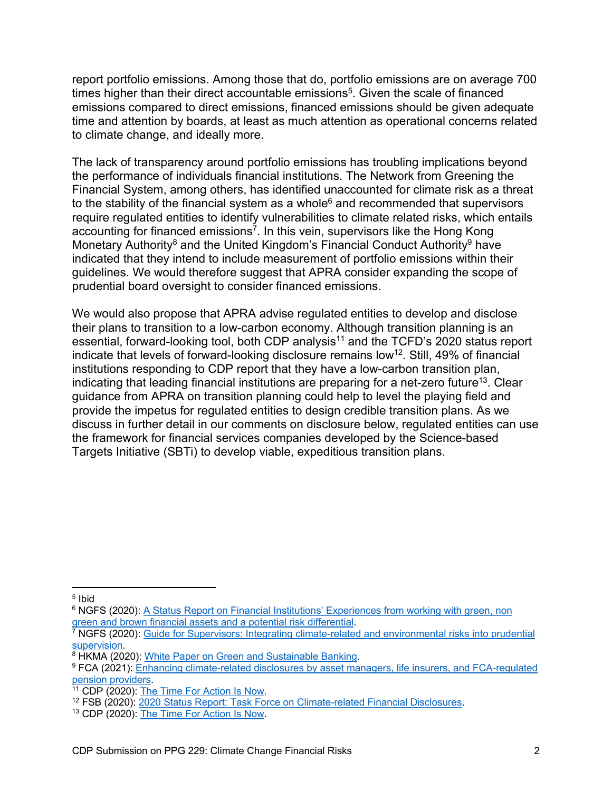report portfolio emissions. Among those that do, portfolio emissions are on average 700 times higher than their direct accountable emissions<sup>5</sup>. Given the scale of financed emissions compared to direct emissions, financed emissions should be given adequate time and attention by boards, at least as much attention as operational concerns related to climate change, and ideally more.

The lack of transparency around portfolio emissions has troubling implications beyond the performance of individuals financial institutions. The Network from Greening the Financial System, among others, has identified unaccounted for climate risk as a threat to the stability of the financial system as a whole $6$  and recommended that supervisors require regulated entities to identify vulnerabilities to climate related risks, which entails accounting for financed emissions<sup>7</sup>. In this vein, supervisors like the Hong Kong Monetary Authority<sup>8</sup> and the United Kingdom's Financial Conduct Authority<sup>9</sup> have indicated that they intend to include measurement of portfolio emissions within their guidelines. We would therefore suggest that APRA consider expanding the scope of prudential board oversight to consider financed emissions.

We would also propose that APRA advise regulated entities to develop and disclose their plans to transition to a low-carbon economy. Although transition planning is an essential, forward-looking tool, both CDP analysis<sup>11</sup> and the TCFD's 2020 status report indicate that levels of forward-looking disclosure remains low<sup>12</sup>. Still, 49% of financial institutions responding to CDP report that they have a low-carbon transition plan, indicating that leading financial institutions are preparing for a net-zero future<sup>13</sup>. Clear guidance from APRA on transition planning could help to level the playing field and provide the impetus for regulated entities to design credible transition plans. As we discuss in further detail in our comments on disclosure below, regulated entities can use the framework for financial services companies developed by the Science-based Targets Initiative (SBTi) to develop viable, expeditious transition plans.

<sup>5</sup> Ibid

<sup>&</sup>lt;sup>6</sup> NGFS (2020): A Status Report on Financial Institutions' Experiences from working with green, non green and brown financial assets and a potential risk differential.

 $^7$  NGFS (2020): Guide for Supervisors: Integrating climate-related and environmental risks into prudential supervision.

<sup>&</sup>lt;sup>8</sup> HKMA (2020): White Paper on Green and Sustainable Banking.

<sup>9</sup> FCA (2021): Enhancing climate-related disclosures by asset managers, life insurers, and FCA-regulated pension providers.

<sup>&</sup>lt;sup>11</sup> CDP (2020): The Time For Action Is Now.

<sup>&</sup>lt;sup>12</sup> FSB (2020): 2020 Status Report: Task Force on Climate-related Financial Disclosures.

<sup>13</sup> CDP (2020): The Time For Action Is Now.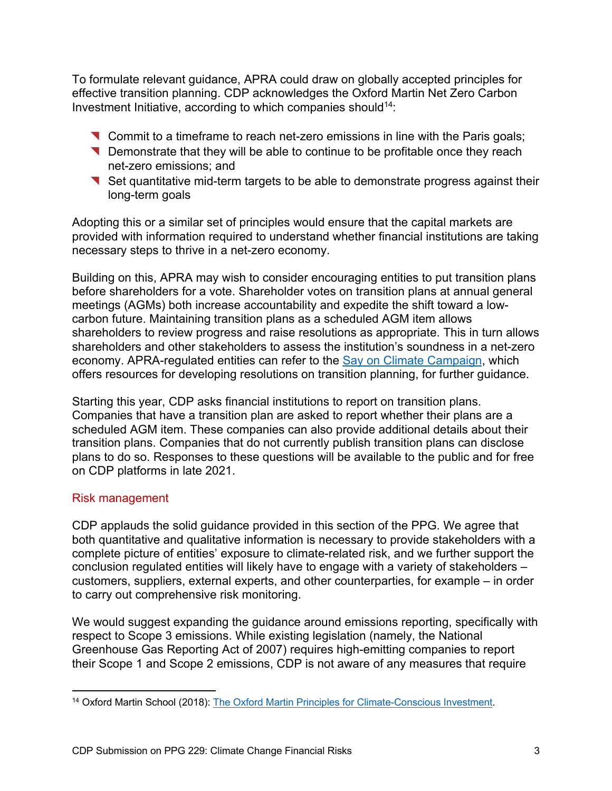To formulate relevant guidance, APRA could draw on globally accepted principles for effective transition planning. CDP acknowledges the Oxford Martin Net Zero Carbon Investment Initiative, according to which companies should<sup>14</sup>:

- ◥ Commit to a timeframe to reach net-zero emissions in line with the Paris goals;
- ◥ Demonstrate that they will be able to continue to be profitable once they reach net-zero emissions; and
- ◥ Set quantitative mid-term targets to be able to demonstrate progress against their long-term goals

Adopting this or a similar set of principles would ensure that the capital markets are provided with information required to understand whether financial institutions are taking necessary steps to thrive in a net-zero economy.

Building on this, APRA may wish to consider encouraging entities to put transition plans before shareholders for a vote. Shareholder votes on transition plans at annual general meetings (AGMs) both increase accountability and expedite the shift toward a lowcarbon future. Maintaining transition plans as a scheduled AGM item allows shareholders to review progress and raise resolutions as appropriate. This in turn allows shareholders and other stakeholders to assess the institution's soundness in a net-zero economy. APRA-regulated entities can refer to the Say on Climate Campaign, which offers resources for developing resolutions on transition planning, for further guidance.

Starting this year, CDP asks financial institutions to report on transition plans. Companies that have a transition plan are asked to report whether their plans are a scheduled AGM item. These companies can also provide additional details about their transition plans. Companies that do not currently publish transition plans can disclose plans to do so. Responses to these questions will be available to the public and for free on CDP platforms in late 2021.

# Risk management

CDP applauds the solid guidance provided in this section of the PPG. We agree that both quantitative and qualitative information is necessary to provide stakeholders with a complete picture of entities' exposure to climate-related risk, and we further support the conclusion regulated entities will likely have to engage with a variety of stakeholders – customers, suppliers, external experts, and other counterparties, for example – in order to carry out comprehensive risk monitoring.

We would suggest expanding the guidance around emissions reporting, specifically with respect to Scope 3 emissions. While existing legislation (namely, the National Greenhouse Gas Reporting Act of 2007) requires high-emitting companies to report their Scope 1 and Scope 2 emissions, CDP is not aware of any measures that require

<sup>&</sup>lt;sup>14</sup> Oxford Martin School (2018): The Oxford Martin Principles for Climate-Conscious Investment.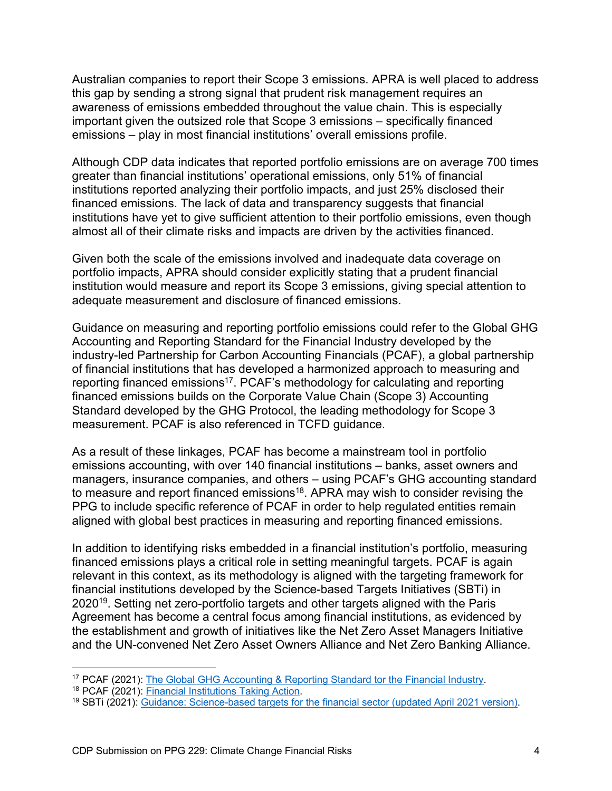Australian companies to report their Scope 3 emissions. APRA is well placed to address this gap by sending a strong signal that prudent risk management requires an awareness of emissions embedded throughout the value chain. This is especially important given the outsized role that Scope 3 emissions – specifically financed emissions – play in most financial institutions' overall emissions profile.

Although CDP data indicates that reported portfolio emissions are on average 700 times greater than financial institutions' operational emissions, only 51% of financial institutions reported analyzing their portfolio impacts, and just 25% disclosed their financed emissions. The lack of data and transparency suggests that financial institutions have yet to give sufficient attention to their portfolio emissions, even though almost all of their climate risks and impacts are driven by the activities financed.

Given both the scale of the emissions involved and inadequate data coverage on portfolio impacts, APRA should consider explicitly stating that a prudent financial institution would measure and report its Scope 3 emissions, giving special attention to adequate measurement and disclosure of financed emissions.

Guidance on measuring and reporting portfolio emissions could refer to the Global GHG Accounting and Reporting Standard for the Financial Industry developed by the industry-led Partnership for Carbon Accounting Financials (PCAF), a global partnership of financial institutions that has developed a harmonized approach to measuring and reporting financed emissions<sup>17</sup>. PCAF's methodology for calculating and reporting financed emissions builds on the Corporate Value Chain (Scope 3) Accounting Standard developed by the GHG Protocol, the leading methodology for Scope 3 measurement. PCAF is also referenced in TCFD guidance.

As a result of these linkages, PCAF has become a mainstream tool in portfolio emissions accounting, with over 140 financial institutions – banks, asset owners and managers, insurance companies, and others – using PCAF's GHG accounting standard to measure and report financed emissions<sup>18</sup>. APRA may wish to consider revising the PPG to include specific reference of PCAF in order to help regulated entities remain aligned with global best practices in measuring and reporting financed emissions.

In addition to identifying risks embedded in a financial institution's portfolio, measuring financed emissions plays a critical role in setting meaningful targets. PCAF is again relevant in this context, as its methodology is aligned with the targeting framework for financial institutions developed by the Science-based Targets Initiatives (SBTi) in 202019. Setting net zero-portfolio targets and other targets aligned with the Paris Agreement has become a central focus among financial institutions, as evidenced by the establishment and growth of initiatives like the Net Zero Asset Managers Initiative and the UN-convened Net Zero Asset Owners Alliance and Net Zero Banking Alliance.

<sup>&</sup>lt;sup>17</sup> PCAF (2021): The Global GHG Accounting & Reporting Standard tor the Financial Industry.

<sup>18</sup> PCAF (2021): Financial Institutions Taking Action.

<sup>&</sup>lt;sup>19</sup> SBTi (2021): Guidance: Science-based targets for the financial sector (updated April 2021 version).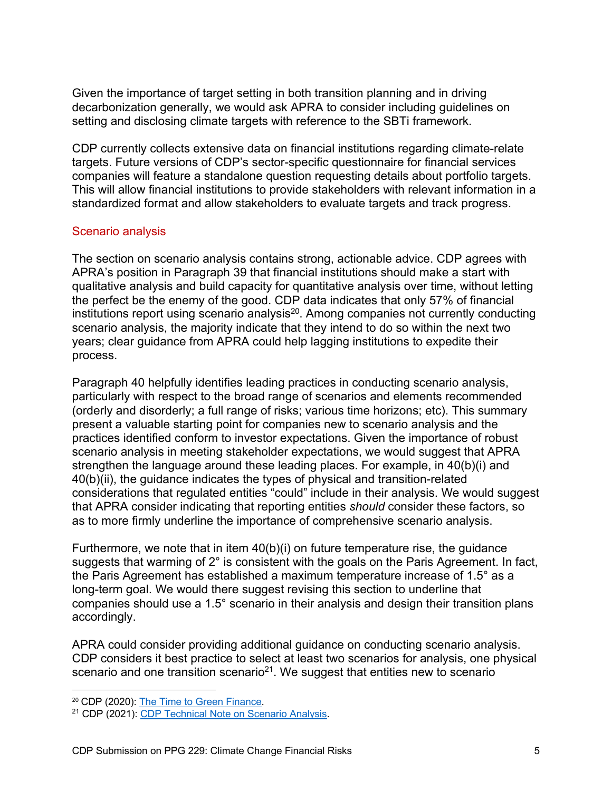Given the importance of target setting in both transition planning and in driving decarbonization generally, we would ask APRA to consider including guidelines on setting and disclosing climate targets with reference to the SBTi framework.

CDP currently collects extensive data on financial institutions regarding climate-relate targets. Future versions of CDP's sector-specific questionnaire for financial services companies will feature a standalone question requesting details about portfolio targets. This will allow financial institutions to provide stakeholders with relevant information in a standardized format and allow stakeholders to evaluate targets and track progress.

#### Scenario analysis

The section on scenario analysis contains strong, actionable advice. CDP agrees with APRA's position in Paragraph 39 that financial institutions should make a start with qualitative analysis and build capacity for quantitative analysis over time, without letting the perfect be the enemy of the good. CDP data indicates that only 57% of financial institutions report using scenario analysis<sup>20</sup>. Among companies not currently conducting scenario analysis, the majority indicate that they intend to do so within the next two years; clear guidance from APRA could help lagging institutions to expedite their process.

Paragraph 40 helpfully identifies leading practices in conducting scenario analysis, particularly with respect to the broad range of scenarios and elements recommended (orderly and disorderly; a full range of risks; various time horizons; etc). This summary present a valuable starting point for companies new to scenario analysis and the practices identified conform to investor expectations. Given the importance of robust scenario analysis in meeting stakeholder expectations, we would suggest that APRA strengthen the language around these leading places. For example, in 40(b)(i) and 40(b)(ii), the guidance indicates the types of physical and transition-related considerations that regulated entities "could" include in their analysis. We would suggest that APRA consider indicating that reporting entities *should* consider these factors, so as to more firmly underline the importance of comprehensive scenario analysis.

Furthermore, we note that in item  $40(b)(i)$  on future temperature rise, the guidance suggests that warming of 2° is consistent with the goals on the Paris Agreement. In fact, the Paris Agreement has established a maximum temperature increase of 1.5° as a long-term goal. We would there suggest revising this section to underline that companies should use a 1.5° scenario in their analysis and design their transition plans accordingly.

APRA could consider providing additional guidance on conducting scenario analysis. CDP considers it best practice to select at least two scenarios for analysis, one physical scenario and one transition scenario<sup>21</sup>. We suggest that entities new to scenario

<sup>20</sup> CDP (2020): The Time to Green Finance.

<sup>21</sup> CDP (2021): CDP Technical Note on Scenario Analysis.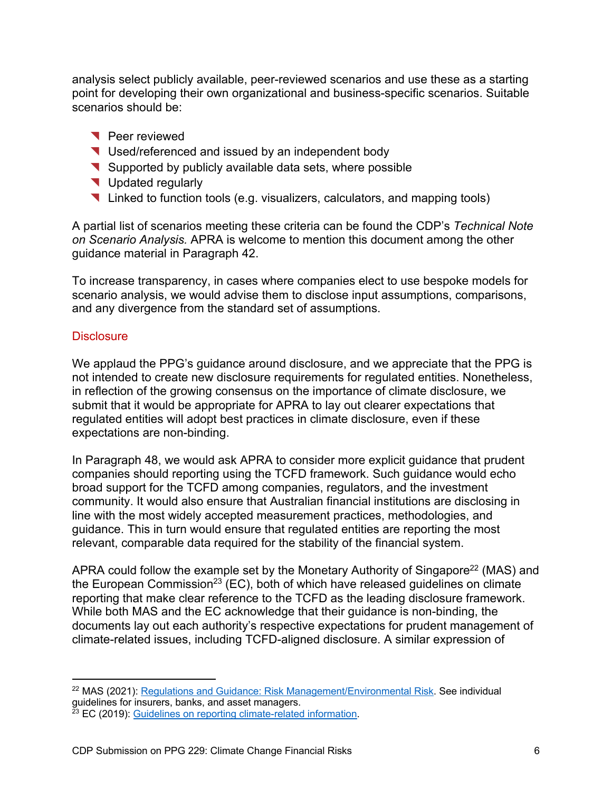analysis select publicly available, peer-reviewed scenarios and use these as a starting point for developing their own organizational and business-specific scenarios. Suitable scenarios should be:

- ◥ Peer reviewed
- ◥ Used/referenced and issued by an independent body
- ◥ Supported by publicly available data sets, where possible
- ◥ Updated regularly
- ◥ Linked to function tools (e.g. visualizers, calculators, and mapping tools)

A partial list of scenarios meeting these criteria can be found the CDP's *Technical Note on Scenario Analysis.* APRA is welcome to mention this document among the other guidance material in Paragraph 42.

To increase transparency, in cases where companies elect to use bespoke models for scenario analysis, we would advise them to disclose input assumptions, comparisons, and any divergence from the standard set of assumptions.

#### **Disclosure**

We applaud the PPG's guidance around disclosure, and we appreciate that the PPG is not intended to create new disclosure requirements for regulated entities. Nonetheless, in reflection of the growing consensus on the importance of climate disclosure, we submit that it would be appropriate for APRA to lay out clearer expectations that regulated entities will adopt best practices in climate disclosure, even if these expectations are non-binding.

In Paragraph 48, we would ask APRA to consider more explicit guidance that prudent companies should reporting using the TCFD framework. Such guidance would echo broad support for the TCFD among companies, regulators, and the investment community. It would also ensure that Australian financial institutions are disclosing in line with the most widely accepted measurement practices, methodologies, and guidance. This in turn would ensure that regulated entities are reporting the most relevant, comparable data required for the stability of the financial system.

APRA could follow the example set by the Monetary Authority of Singapore<sup>22</sup> (MAS) and the European Commission<sup>23</sup> (EC), both of which have released quidelines on climate reporting that make clear reference to the TCFD as the leading disclosure framework. While both MAS and the EC acknowledge that their guidance is non-binding, the documents lay out each authority's respective expectations for prudent management of climate-related issues, including TCFD-aligned disclosure. A similar expression of

<sup>&</sup>lt;sup>22</sup> MAS (2021): Regulations and Guidance: Risk Management/Environmental Risk. See individual guidelines for insurers, banks, and asset managers.

<sup>&</sup>lt;sup>23</sup> EC (2019): Guidelines on reporting climate-related information.